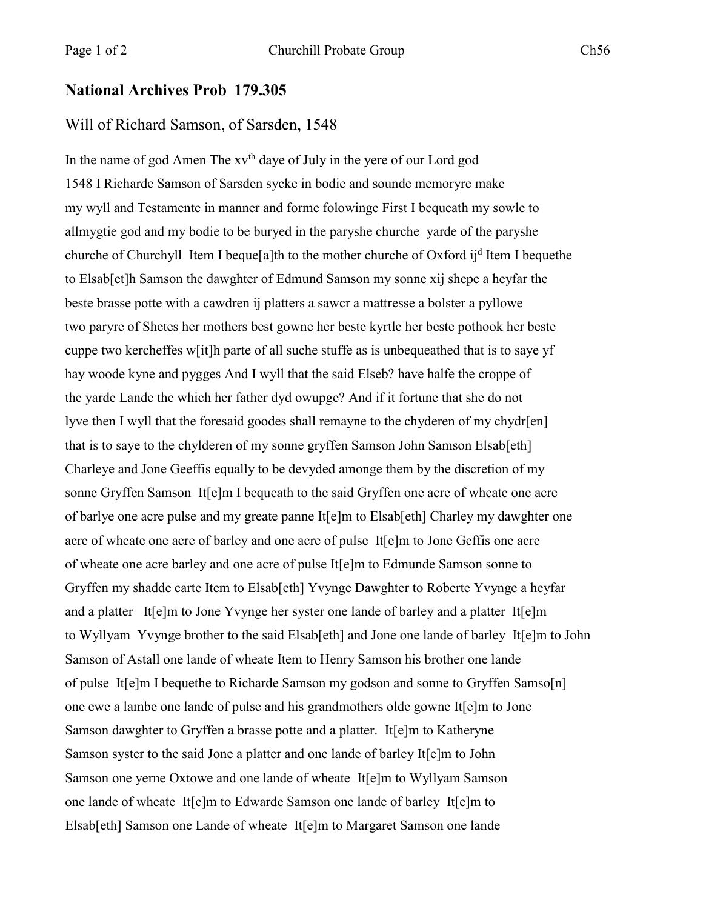## **National Archives Prob 179.305**

## Will of Richard Samson, of Sarsden, 1548

In the name of god Amen The  $xy<sup>th</sup>$  daye of July in the yere of our Lord god 1548 I Richarde Samson of Sarsden sycke in bodie and sounde memoryre make my wyll and Testamente in manner and forme folowinge First I bequeath my sowle to allmygtie god and my bodie to be buryed in the paryshe churche yarde of the paryshe churche of Churchyll Item I beque<sup>[a]th</sup> to the mother churche of Oxford  $i j<sup>d</sup>$  Item I bequethe to Elsab[et]h Samson the dawghter of Edmund Samson my sonne xij shepe a heyfar the beste brasse potte with a cawdren ij platters a sawcr a mattresse a bolster a pyllowe two paryre of Shetes her mothers best gowne her beste kyrtle her beste pothook her beste cuppe two kercheffes w[it]h parte of all suche stuffe as is unbequeathed that is to saye yf hay woode kyne and pygges And I wyll that the said Elseb? have halfe the croppe of the yarde Lande the which her father dyd owupge? And if it fortune that she do not lyve then I wyll that the foresaid goodes shall remayne to the chyderen of my chydr[en] that is to saye to the chylderen of my sonne gryffen Samson John Samson Elsab[eth] Charleye and Jone Geeffis equally to be devyded amonge them by the discretion of my sonne Gryffen Samson It[e]m I bequeath to the said Gryffen one acre of wheate one acre of barlye one acre pulse and my greate panne It[e]m to Elsab[eth] Charley my dawghter one acre of wheate one acre of barley and one acre of pulse It[e]m to Jone Geffis one acre of wheate one acre barley and one acre of pulse It[e]m to Edmunde Samson sonne to Gryffen my shadde carte Item to Elsab[eth] Yvynge Dawghter to Roberte Yvynge a heyfar and a platter It[e]m to Jone Yvynge her syster one lande of barley and a platter It[e]m to Wyllyam Yvynge brother to the said Elsab[eth] and Jone one lande of barley It[e]m to John Samson of Astall one lande of wheate Item to Henry Samson his brother one lande of pulse It[e]m I bequethe to Richarde Samson my godson and sonne to Gryffen Samso[n] one ewe a lambe one lande of pulse and his grandmothers olde gowne It[e]m to Jone Samson dawghter to Gryffen a brasse potte and a platter. It[e]m to Katheryne Samson syster to the said Jone a platter and one lande of barley It[e]m to John Samson one yerne Oxtowe and one lande of wheate It[e]m to Wyllyam Samson one lande of wheate It[e]m to Edwarde Samson one lande of barley It[e]m to Elsab[eth] Samson one Lande of wheate It[e]m to Margaret Samson one lande